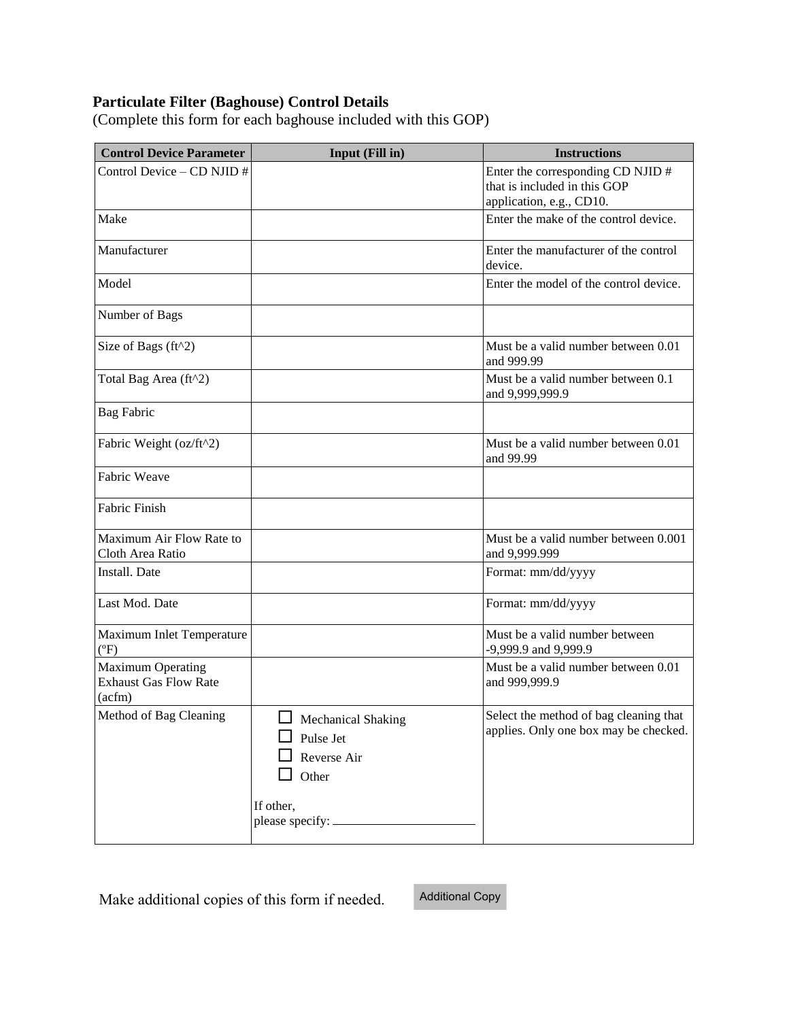## **Particulate Filter (Baghouse) Control Details**

(Complete this form for each baghouse included with this GOP)

| <b>Control Device Parameter</b>                                    | Input (Fill in)                                                             | <b>Instructions</b>                                                                           |
|--------------------------------------------------------------------|-----------------------------------------------------------------------------|-----------------------------------------------------------------------------------------------|
| Control Device - CD NJID #                                         |                                                                             | Enter the corresponding CD NJID #<br>that is included in this GOP<br>application, e.g., CD10. |
| Make                                                               |                                                                             | Enter the make of the control device.                                                         |
| Manufacturer                                                       |                                                                             | Enter the manufacturer of the control<br>device.                                              |
| Model                                                              |                                                                             | Enter the model of the control device.                                                        |
| Number of Bags                                                     |                                                                             |                                                                                               |
| Size of Bags (ft^2)                                                |                                                                             | Must be a valid number between 0.01<br>and 999.99                                             |
| Total Bag Area (ft^2)                                              |                                                                             | Must be a valid number between 0.1<br>and 9,999,999.9                                         |
| <b>Bag Fabric</b>                                                  |                                                                             |                                                                                               |
| Fabric Weight (oz/ft^2)                                            |                                                                             | Must be a valid number between 0.01<br>and 99.99                                              |
| Fabric Weave                                                       |                                                                             |                                                                                               |
| Fabric Finish                                                      |                                                                             |                                                                                               |
| Maximum Air Flow Rate to<br>Cloth Area Ratio                       |                                                                             | Must be a valid number between 0.001<br>and 9,999.999                                         |
| Install. Date                                                      |                                                                             | Format: mm/dd/yyyy                                                                            |
| Last Mod. Date                                                     |                                                                             | Format: mm/dd/yyyy                                                                            |
| Maximum Inlet Temperature<br>$(^{\circ}F)$                         |                                                                             | Must be a valid number between<br>-9,999.9 and 9,999.9                                        |
| <b>Maximum Operating</b><br><b>Exhaust Gas Flow Rate</b><br>(acfm) |                                                                             | Must be a valid number between 0.01<br>and 999,999.9                                          |
| Method of Bag Cleaning                                             | $\Box$ Mechanical Shaking<br>Pulse Jet<br>Reverse Air<br>Other<br>If other, | Select the method of bag cleaning that<br>applies. Only one box may be checked.               |

Make additional copies of this form if needed.

Additional Copy